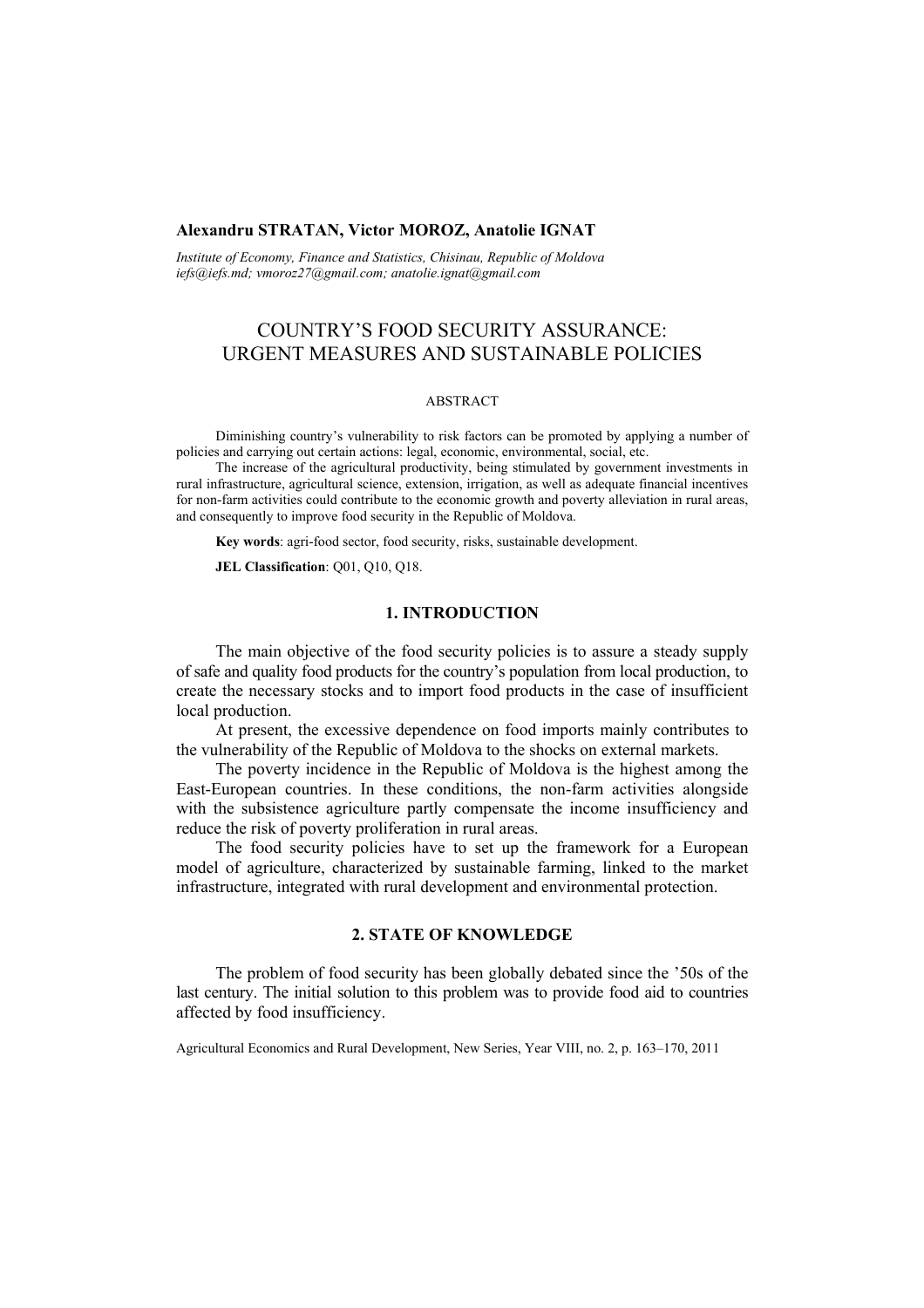## **Alexandru STRATAN, Victor MOROZ, Anatolie IGNAT**

*Institute of Economy, Finance and Statistics, Chisinau, Republic of Moldova iefs@iefs.md; vmoroz27@gmail.com; anatolie.ignat@gmail.com* 

# COUNTRY'S FOOD SECURITY ASSURANCE: URGENT MEASURES AND SUSTAINABLE POLICIES

### ABSTRACT

Diminishing country's vulnerability to risk factors can be promoted by applying a number of policies and carrying out certain actions: legal, economic, environmental, social, etc.

The increase of the agricultural productivity, being stimulated by government investments in rural infrastructure, agricultural science, extension, irrigation, as well as adequate financial incentives for non-farm activities could contribute to the economic growth and poverty alleviation in rural areas, and consequently to improve food security in the Republic of Moldova.

**Key words**: agri-food sector, food security, risks, sustainable development.

**JEL Classification**: Q01, Q10, Q18.

# **1. INTRODUCTION**

The main objective of the food security policies is to assure a steady supply of safe and quality food products for the country's population from local production, to create the necessary stocks and to import food products in the case of insufficient local production.

At present, the excessive dependence on food imports mainly contributes to the vulnerability of the Republic of Moldova to the shocks on external markets.

The poverty incidence in the Republic of Moldova is the highest among the East-European countries. In these conditions, the non-farm activities alongside with the subsistence agriculture partly compensate the income insufficiency and reduce the risk of poverty proliferation in rural areas.

The food security policies have to set up the framework for a European model of agriculture, characterized by sustainable farming, linked to the market infrastructure, integrated with rural development and environmental protection.

# **2. STATE OF KNOWLEDGE**

The problem of food security has been globally debated since the '50s of the last century. The initial solution to this problem was to provide food aid to countries affected by food insufficiency.

Agricultural Economics and Rural Development, New Series, Year VIII, no. 2, p. 163–170, 2011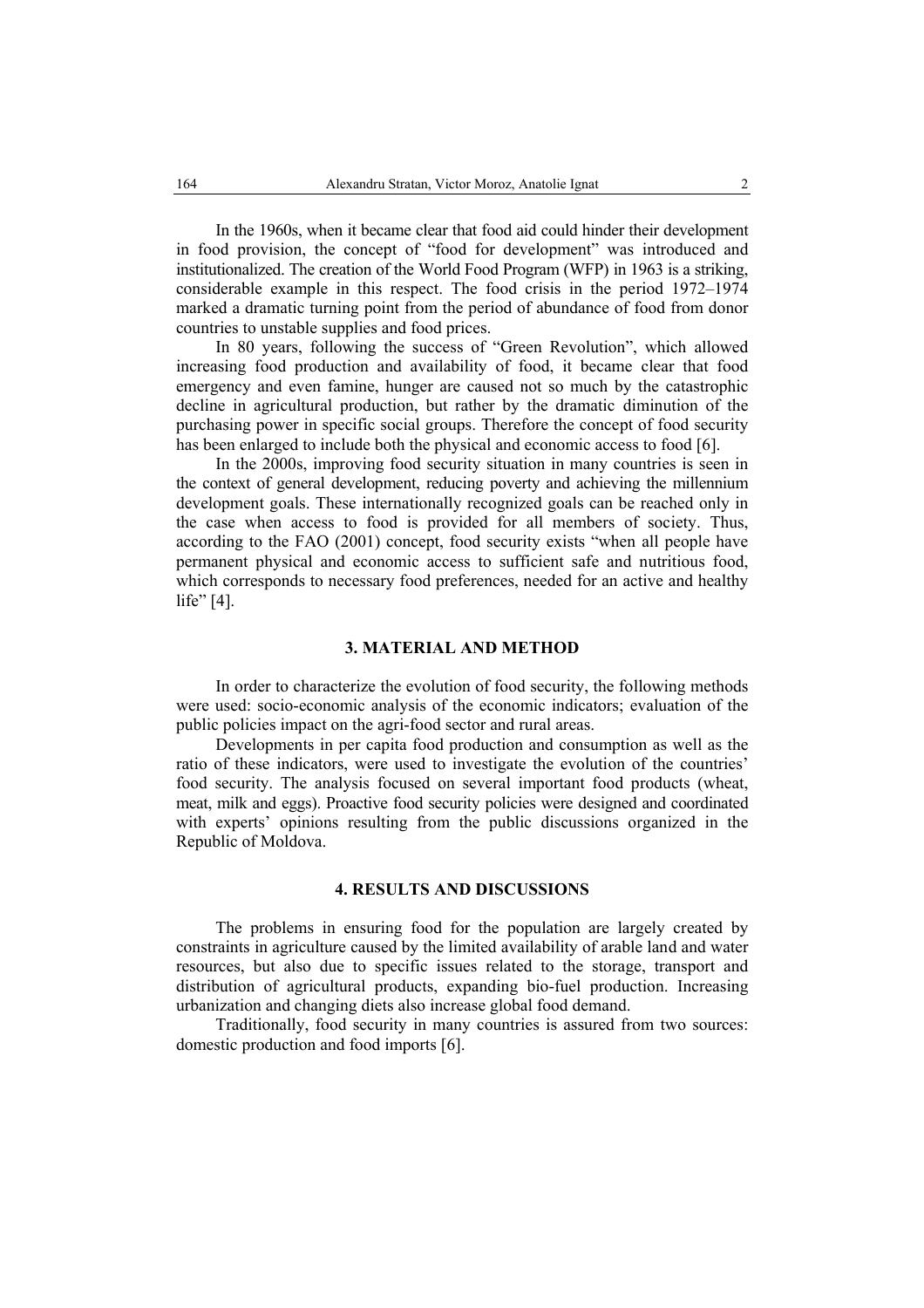In the 1960s, when it became clear that food aid could hinder their development in food provision, the concept of "food for development" was introduced and institutionalized. The creation of the World Food Program (WFP) in 1963 is a striking, considerable example in this respect. The food crisis in the period 1972–1974 marked a dramatic turning point from the period of abundance of food from donor countries to unstable supplies and food prices.

In 80 years, following the success of "Green Revolution", which allowed increasing food production and availability of food, it became clear that food emergency and even famine, hunger are caused not so much by the catastrophic decline in agricultural production, but rather by the dramatic diminution of the purchasing power in specific social groups. Therefore the concept of food security has been enlarged to include both the physical and economic access to food [6].

In the 2000s, improving food security situation in many countries is seen in the context of general development, reducing poverty and achieving the millennium development goals. These internationally recognized goals can be reached only in the case when access to food is provided for all members of society. Thus, according to the FAO (2001) concept, food security exists "when all people have permanent physical and economic access to sufficient safe and nutritious food, which corresponds to necessary food preferences, needed for an active and healthy life" [4].

### **3. MATERIAL AND METHOD**

In order to characterize the evolution of food security, the following methods were used: socio-economic analysis of the economic indicators; evaluation of the public policies impact on the agri-food sector and rural areas.

Developments in per capita food production and consumption as well as the ratio of these indicators, were used to investigate the evolution of the countries' food security. The analysis focused on several important food products (wheat, meat, milk and eggs). Proactive food security policies were designed and coordinated with experts' opinions resulting from the public discussions organized in the Republic of Moldova.

### **4. RESULTS AND DISCUSSIONS**

The problems in ensuring food for the population are largely created by constraints in agriculture caused by the limited availability of arable land and water resources, but also due to specific issues related to the storage, transport and distribution of agricultural products, expanding bio-fuel production. Increasing urbanization and changing diets also increase global food demand.

Traditionally, food security in many countries is assured from two sources: domestic production and food imports [6].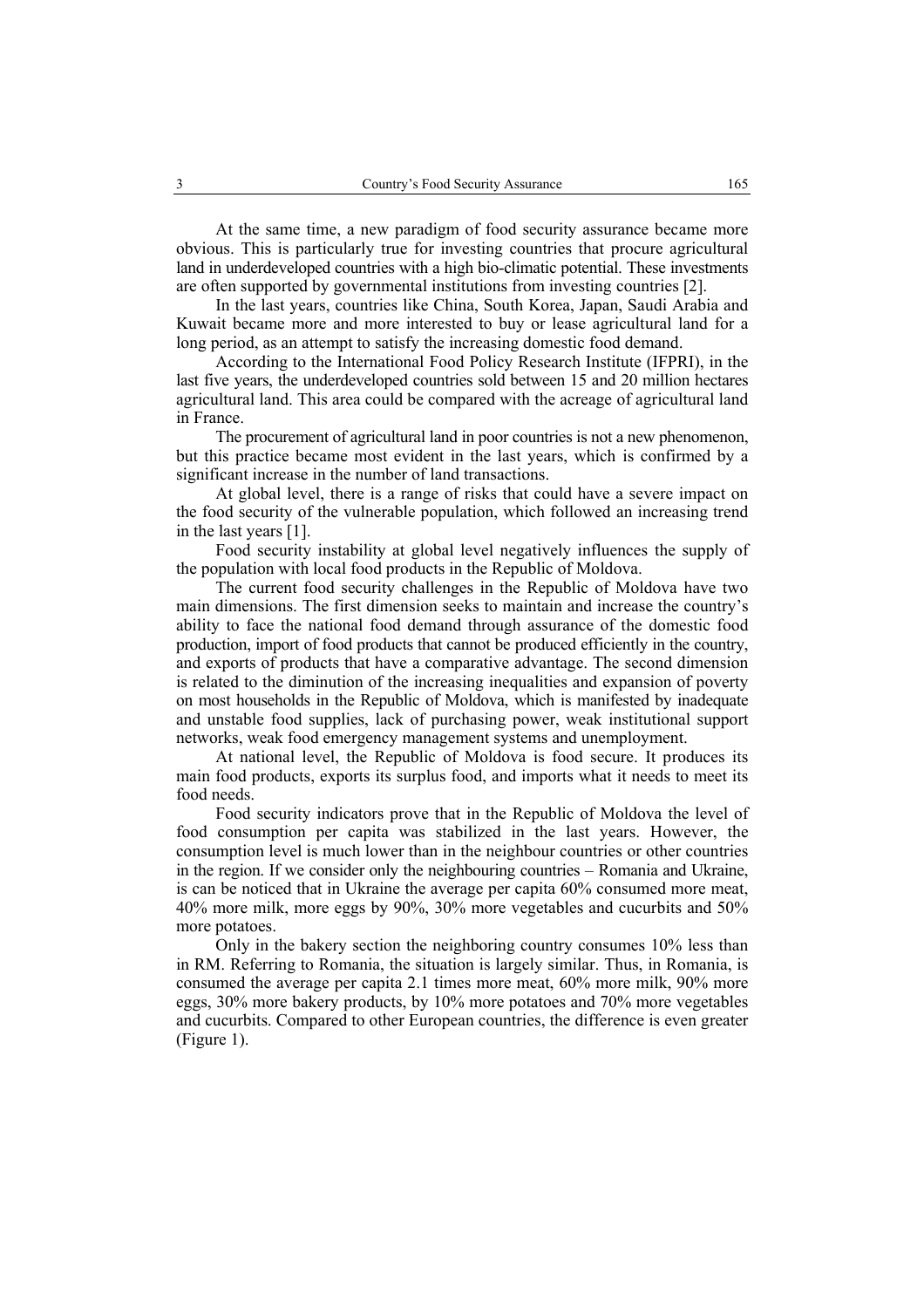At the same time, a new paradigm of food security assurance became more obvious. This is particularly true for investing countries that procure agricultural land in underdeveloped countries with a high bio-climatic potential. These investments are often supported by governmental institutions from investing countries [2].

In the last years, countries like China, South Korea, Japan, Saudi Arabia and Kuwait became more and more interested to buy or lease agricultural land for a long period, as an attempt to satisfy the increasing domestic food demand.

According to the International Food Policy Research Institute (IFPRI), in the last five years, the underdeveloped countries sold between 15 and 20 million hectares agricultural land. This area could be compared with the acreage of agricultural land in France.

The procurement of agricultural land in poor countries is not a new phenomenon, but this practice became most evident in the last years, which is confirmed by a significant increase in the number of land transactions.

At global level, there is a range of risks that could have a severe impact on the food security of the vulnerable population, which followed an increasing trend in the last years [1].

Food security instability at global level negatively influences the supply of the population with local food products in the Republic of Moldova.

The current food security challenges in the Republic of Moldova have two main dimensions. The first dimension seeks to maintain and increase the country's ability to face the national food demand through assurance of the domestic food production, import of food products that cannot be produced efficiently in the country, and exports of products that have a comparative advantage. The second dimension is related to the diminution of the increasing inequalities and expansion of poverty on most households in the Republic of Moldova, which is manifested by inadequate and unstable food supplies, lack of purchasing power, weak institutional support networks, weak food emergency management systems and unemployment.

At national level, the Republic of Moldova is food secure. It produces its main food products, exports its surplus food, and imports what it needs to meet its food needs.

Food security indicators prove that in the Republic of Moldova the level of food consumption per capita was stabilized in the last years. However, the consumption level is much lower than in the neighbour countries or other countries in the region. If we consider only the neighbouring countries – Romania and Ukraine, is can be noticed that in Ukraine the average per capita 60% consumed more meat, 40% more milk, more eggs by 90%, 30% more vegetables and cucurbits and 50% more potatoes.

Only in the bakery section the neighboring country consumes 10% less than in RM. Referring to Romania, the situation is largely similar. Thus, in Romania, is consumed the average per capita 2.1 times more meat, 60% more milk, 90% more eggs, 30% more bakery products, by 10% more potatoes and 70% more vegetables and cucurbits. Compared to other European countries, the difference is even greater (Figure 1).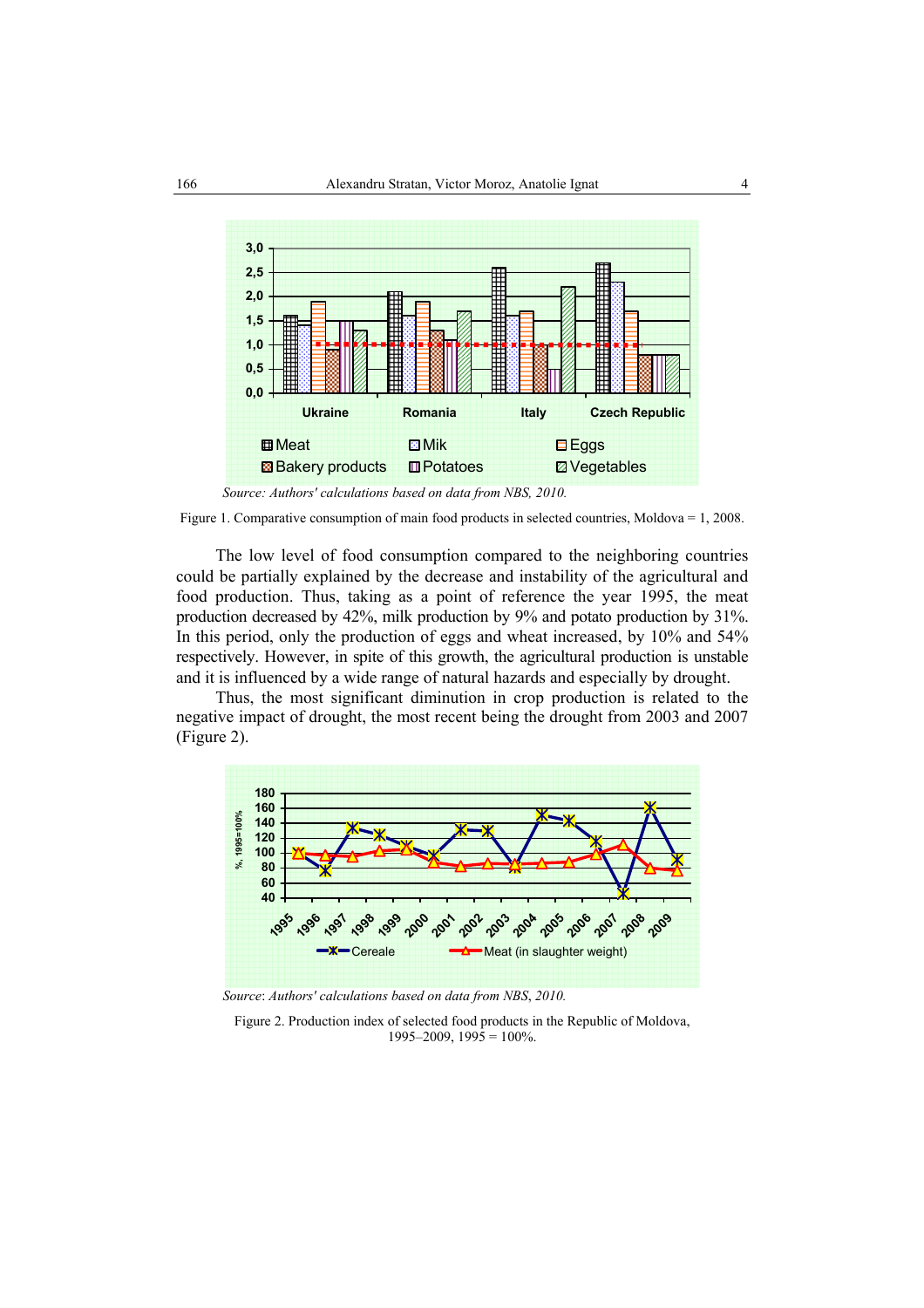

 *Source: Authors' calculations based on data from NBS, 2010.* 

Figure 1. Comparative consumption of main food products in selected countries, Moldova = 1, 2008.

The low level of food consumption compared to the neighboring countries could be partially explained by the decrease and instability of the agricultural and food production. Thus, taking as a point of reference the year 1995, the meat production decreased by 42%, milk production by 9% and potato production by 31%. In this period, only the production of eggs and wheat increased, by 10% and 54% respectively. However, in spite of this growth, the agricultural production is unstable and it is influenced by a wide range of natural hazards and especially by drought.

Thus, the most significant diminution in crop production is related to the negative impact of drought, the most recent being the drought from 2003 and 2007 (Figure 2).



 *Source*: *Authors' calculations based on data from NBS*, *2010.* 

Figure 2. Production index of selected food products in the Republic of Moldova,  $1995-2009$ ,  $1995 = 100\%$ .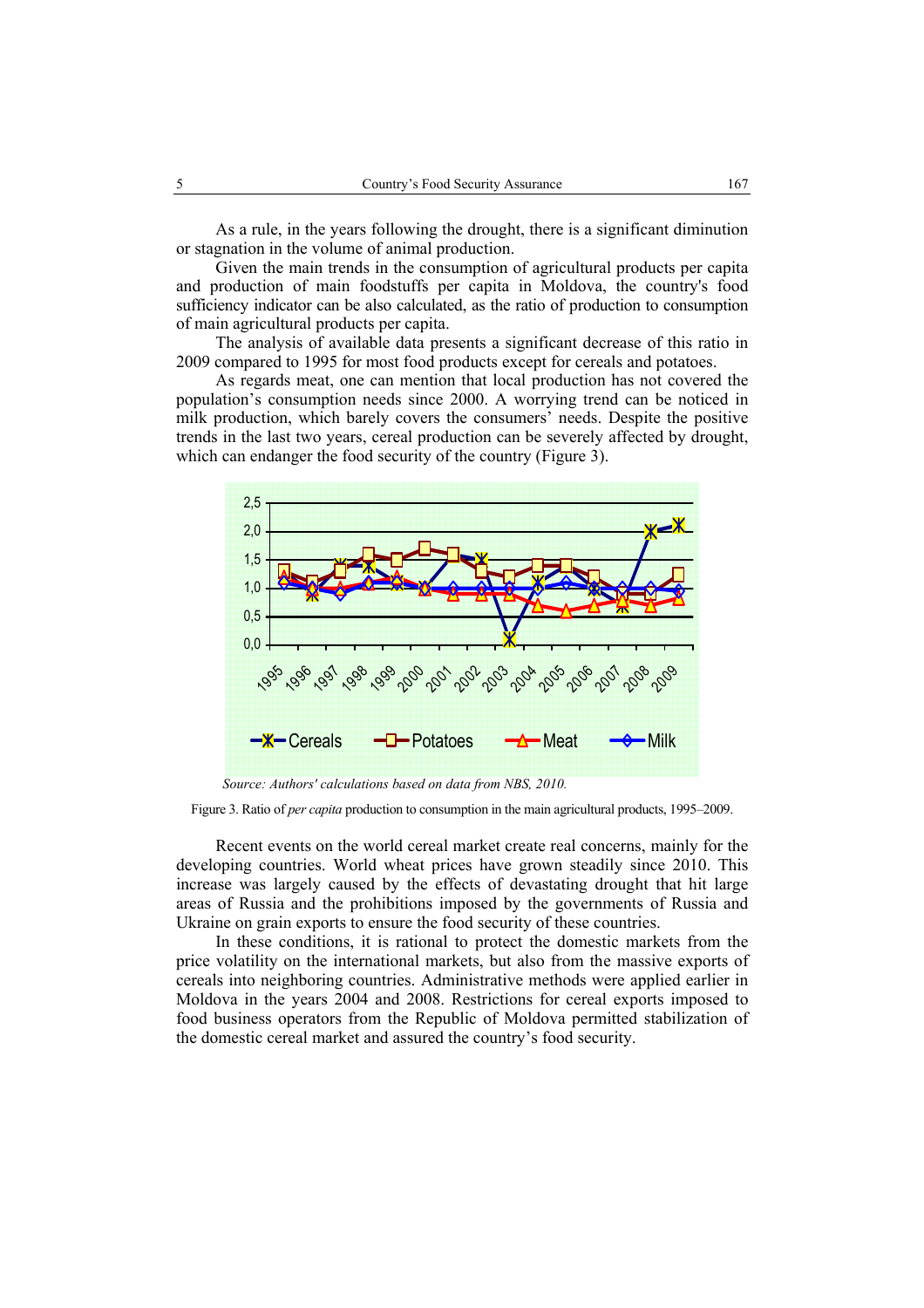As a rule, in the years following the drought, there is a significant diminution or stagnation in the volume of animal production.

Given the main trends in the consumption of agricultural products per capita and production of main foodstuffs per capita in Moldova, the country's food sufficiency indicator can be also calculated, as the ratio of production to consumption of main agricultural products per capita.

The analysis of available data presents a significant decrease of this ratio in 2009 compared to 1995 for most food products except for cereals and potatoes.

As regards meat, one can mention that local production has not covered the population's consumption needs since 2000. A worrying trend can be noticed in milk production, which barely covers the consumers' needs. Despite the positive trends in the last two years, cereal production can be severely affected by drought, which can endanger the food security of the country (Figure 3).



Figure 3. Ratio of *per capita* production to consumption in the main agricultural products, 1995–2009.

Recent events on the world cereal market create real concerns, mainly for the developing countries. World wheat prices have grown steadily since 2010. This increase was largely caused by the effects of devastating drought that hit large areas of Russia and the prohibitions imposed by the governments of Russia and Ukraine on grain exports to ensure the food security of these countries.

In these conditions, it is rational to protect the domestic markets from the price volatility on the international markets, but also from the massive exports of cereals into neighboring countries. Administrative methods were applied earlier in Moldova in the years 2004 and 2008. Restrictions for cereal exports imposed to food business operators from the Republic of Moldova permitted stabilization of the domestic cereal market and assured the country's food security.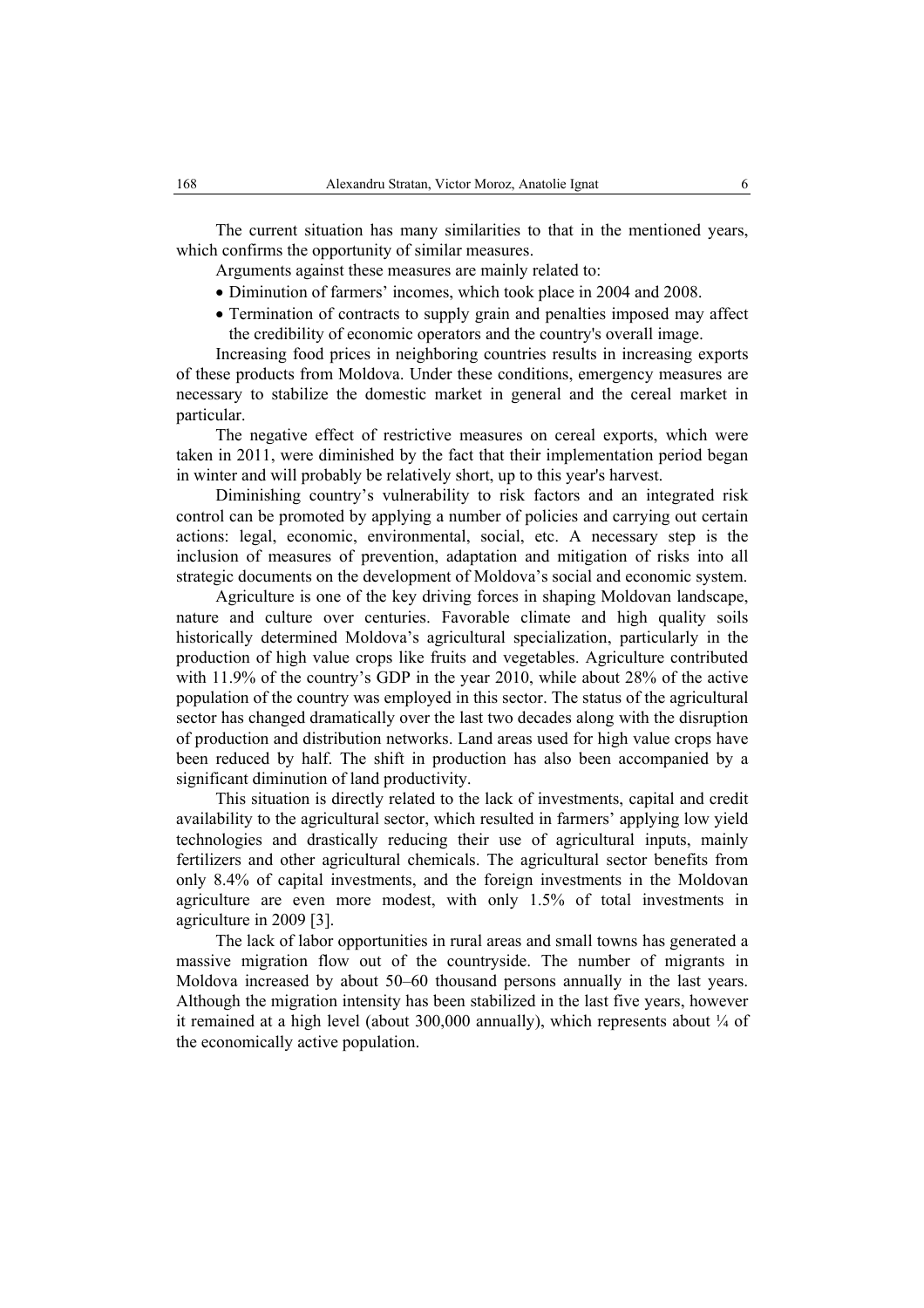The current situation has many similarities to that in the mentioned years, which confirms the opportunity of similar measures.

Arguments against these measures are mainly related to:

- Diminution of farmers' incomes, which took place in 2004 and 2008.
- Termination of contracts to supply grain and penalties imposed may affect the credibility of economic operators and the country's overall image.

Increasing food prices in neighboring countries results in increasing exports of these products from Moldova. Under these conditions, emergency measures are necessary to stabilize the domestic market in general and the cereal market in particular.

The negative effect of restrictive measures on cereal exports, which were taken in 2011, were diminished by the fact that their implementation period began in winter and will probably be relatively short, up to this year's harvest.

Diminishing country's vulnerability to risk factors and an integrated risk control can be promoted by applying a number of policies and carrying out certain actions: legal, economic, environmental, social, etc. A necessary step is the inclusion of measures of prevention, adaptation and mitigation of risks into all strategic documents on the development of Moldova's social and economic system.

Agriculture is one of the key driving forces in shaping Moldovan landscape, nature and culture over centuries. Favorable climate and high quality soils historically determined Moldova's agricultural specialization, particularly in the production of high value crops like fruits and vegetables. Agriculture contributed with 11.9% of the country's GDP in the year 2010, while about 28% of the active population of the country was employed in this sector. The status of the agricultural sector has changed dramatically over the last two decades along with the disruption of production and distribution networks. Land areas used for high value crops have been reduced by half. The shift in production has also been accompanied by a significant diminution of land productivity.

This situation is directly related to the lack of investments, capital and credit availability to the agricultural sector, which resulted in farmers' applying low yield technologies and drastically reducing their use of agricultural inputs, mainly fertilizers and other agricultural chemicals. The agricultural sector benefits from only 8.4% of capital investments, and the foreign investments in the Moldovan agriculture are even more modest, with only 1.5% of total investments in agriculture in 2009 [3].

The lack of labor opportunities in rural areas and small towns has generated a massive migration flow out of the countryside. The number of migrants in Moldova increased by about 50–60 thousand persons annually in the last years. Although the migration intensity has been stabilized in the last five years, however it remained at a high level (about 300,000 annually), which represents about  $\frac{1}{4}$  of the economically active population.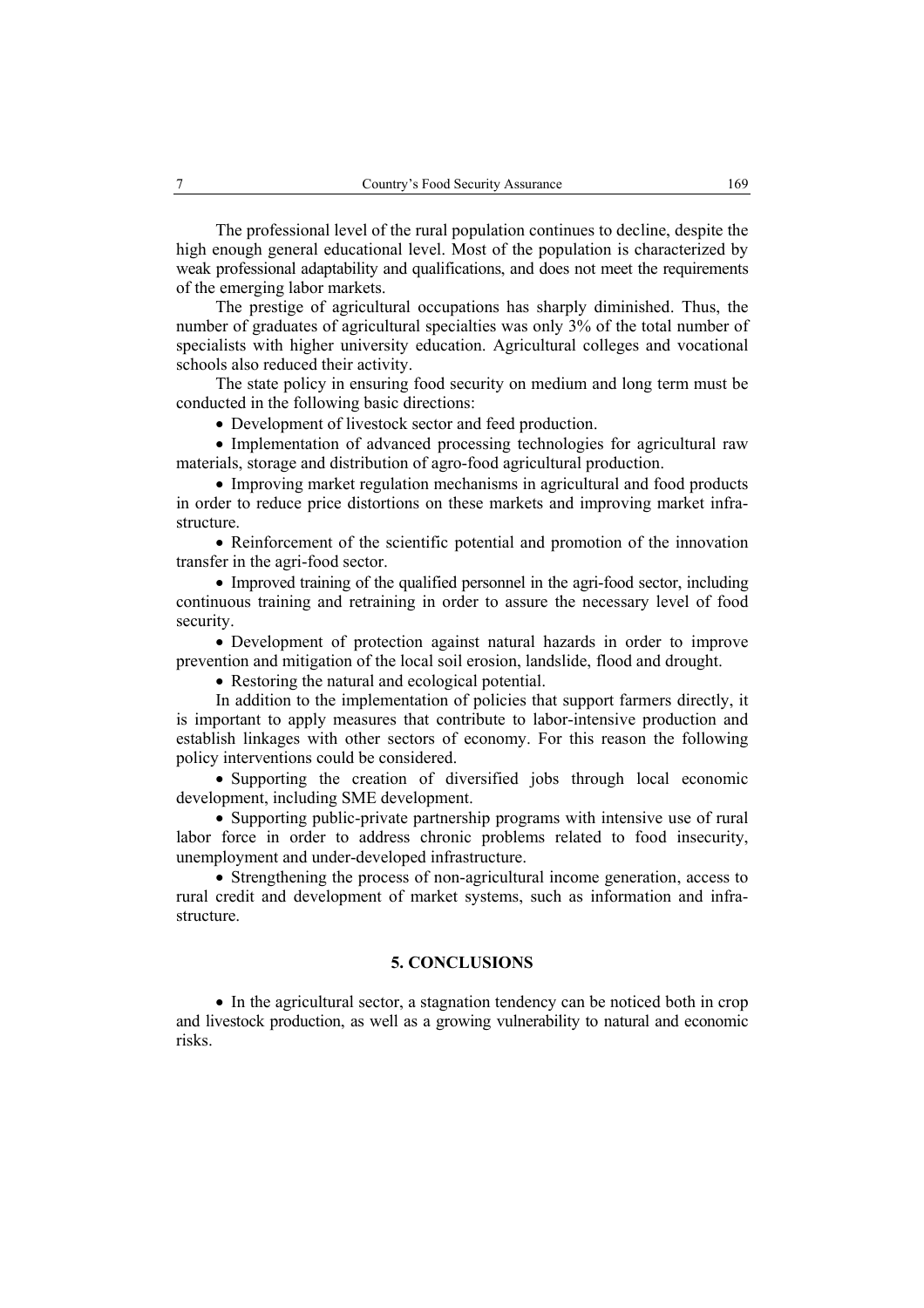The professional level of the rural population continues to decline, despite the high enough general educational level. Most of the population is characterized by weak professional adaptability and qualifications, and does not meet the requirements of the emerging labor markets.

The prestige of agricultural occupations has sharply diminished. Thus, the number of graduates of agricultural specialties was only 3% of the total number of specialists with higher university education. Agricultural colleges and vocational schools also reduced their activity.

The state policy in ensuring food security on medium and long term must be conducted in the following basic directions:

• Development of livestock sector and feed production.

• Implementation of advanced processing technologies for agricultural raw materials, storage and distribution of agro-food agricultural production.

• Improving market regulation mechanisms in agricultural and food products in order to reduce price distortions on these markets and improving market infrastructure.

• Reinforcement of the scientific potential and promotion of the innovation transfer in the agri-food sector.

• Improved training of the qualified personnel in the agri-food sector, including continuous training and retraining in order to assure the necessary level of food security.

• Development of protection against natural hazards in order to improve prevention and mitigation of the local soil erosion, landslide, flood and drought.

• Restoring the natural and ecological potential.

In addition to the implementation of policies that support farmers directly, it is important to apply measures that contribute to labor-intensive production and establish linkages with other sectors of economy. For this reason the following policy interventions could be considered.

• Supporting the creation of diversified jobs through local economic development, including SME development.

• Supporting public-private partnership programs with intensive use of rural labor force in order to address chronic problems related to food insecurity, unemployment and under-developed infrastructure.

• Strengthening the process of non-agricultural income generation, access to rural credit and development of market systems, such as information and infrastructure.

## **5. CONCLUSIONS**

• In the agricultural sector, a stagnation tendency can be noticed both in crop and livestock production, as well as a growing vulnerability to natural and economic risks.